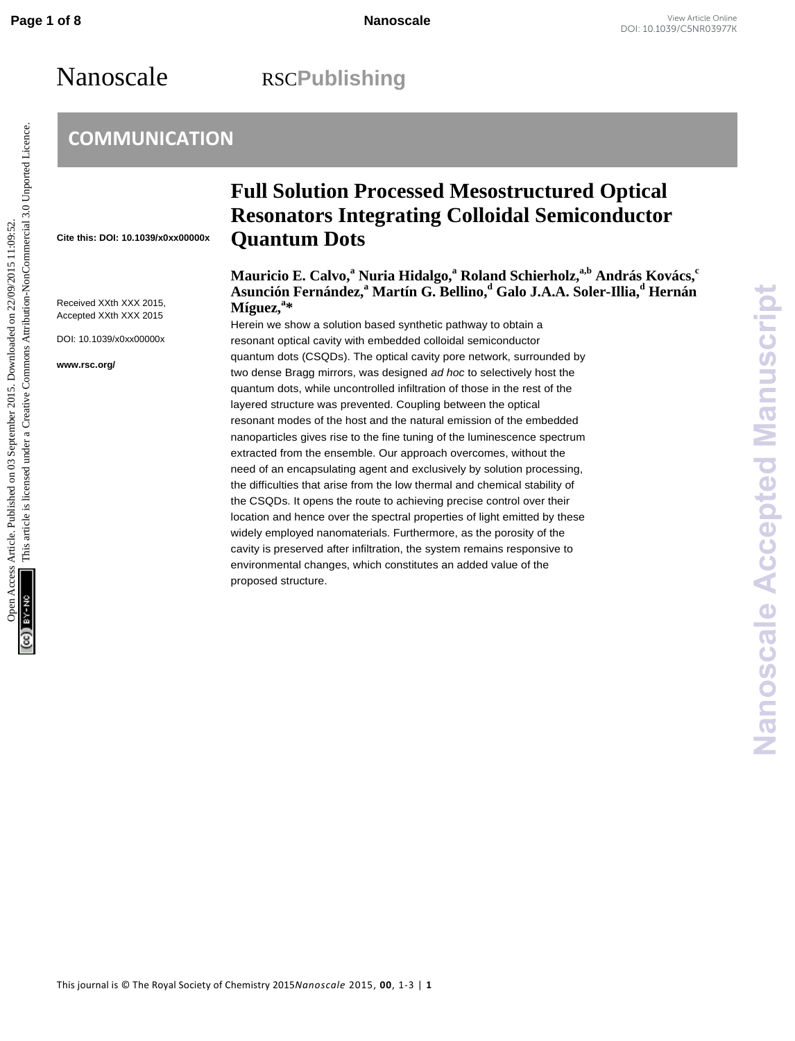Nanoscale RSC**Publishing**

# **COMMUNICATION**

**Cite this: DOI: 10.1039/x0xx00000x**

Received XXth XXX 2015, Accepted XXth XXX 2015

DOI: 10.1039/x0xx00000x

**www.rsc.org/**

# **Full Solution Processed Mesostructured Optical Resonators Integrating Colloidal Semiconductor Quantum Dots**

### **Mauricio E. Calvo,<sup>a</sup> Nuria Hidalgo,<sup>a</sup> Roland Schierholz,a,b András Kovács,<sup>c</sup> Asunción Fernández,<sup>a</sup> Martín G. Bellino,<sup>d</sup> Galo J.A.A. Soler-Illia,<sup>d</sup> Hernán Míguez,<sup>a</sup> \***

Herein we show a solution based synthetic pathway to obtain a resonant optical cavity with embedded colloidal semiconductor quantum dots (CSQDs). The optical cavity pore network, surrounded by two dense Bragg mirrors, was designed *ad hoc* to selectively host the quantum dots, while uncontrolled infiltration of those in the rest of the layered structure was prevented. Coupling between the optical resonant modes of the host and the natural emission of the embedded nanoparticles gives rise to the fine tuning of the luminescence spectrum extracted from the ensemble. Our approach overcomes, without the need of an encapsulating agent and exclusively by solution processing, the difficulties that arise from the low thermal and chemical stability of the CSQDs. It opens the route to achieving precise control over their location and hence over the spectral properties of light emitted by these widely employed nanomaterials. Furthermore, as the porosity of the cavity is preserved after infiltration, the system remains responsive to environmental changes, which constitutes an added value of the proposed structure. Page 1 of 8<br>
Nanoscale<br>
NANDOSCale<br>
COMMUNICATION<br>
COMMUNICATION<br>
THE SCONDISTRIC PROCESSEd Mesostructured Optical<br>
The mesos one to the system of the system of the system of the system of the system of the system of the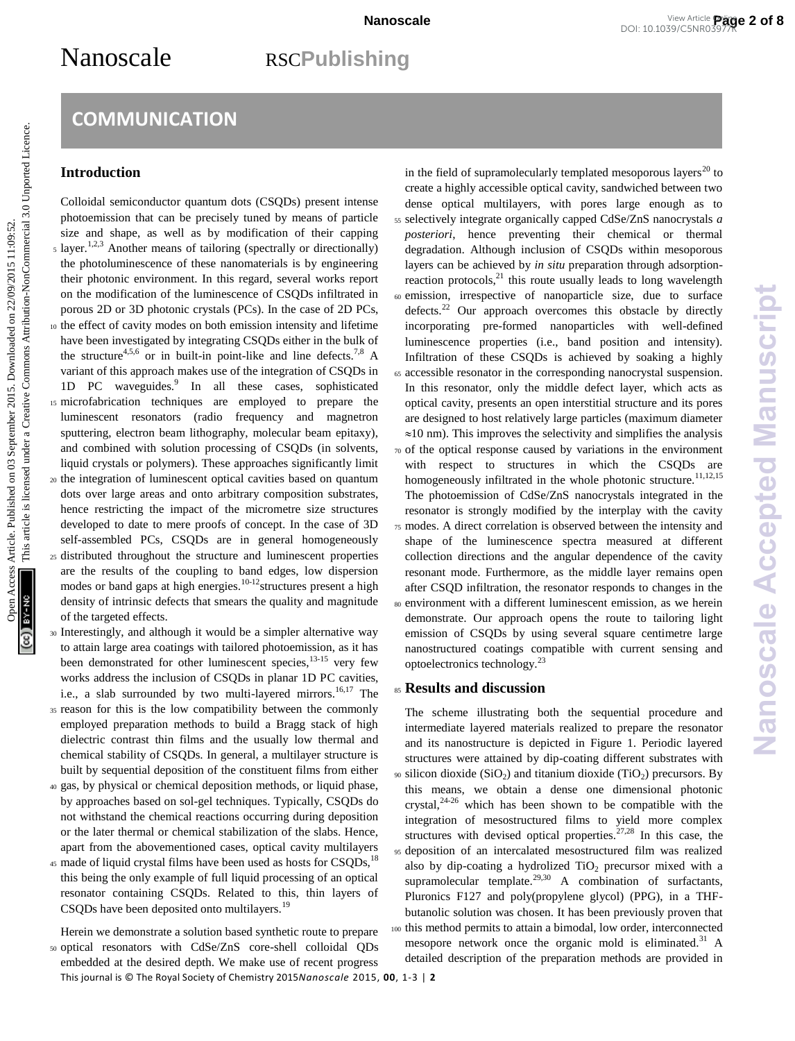# Nanoscale RSC**Publishing**

## **COMMUNICATION**

#### **Introduction**

Colloidal semiconductor quantum dots (CSQDs) present intense photoemission that can be precisely tuned by means of particle size and shape, as well as by modification of their capping  $s$  layer.<sup>1,2,3</sup> Another means of tailoring (spectrally or directionally) the photoluminescence of these nanomaterials is by engineering their photonic environment. In this regard, several works report on the modification of the luminescence of CSQDs infiltrated in porous 2D or 3D photonic crystals (PCs). In the case of 2D PCs, <sup>10</sup> the effect of cavity modes on both emission intensity and lifetime have been investigated by integrating CSQDs either in the bulk of the structure<sup>4,5,6</sup> or in built-in point-like and line defects.<sup>7,8</sup> A variant of this approach makes use of the integration of CSQDs in 1D PC waveguides.<sup>9</sup> In all these cases, sophisticated <sup>15</sup> microfabrication techniques are employed to prepare the luminescent resonators (radio frequency and magnetron sputtering, electron beam lithography, molecular beam epitaxy), and combined with solution processing of CSQDs (in solvents, liquid crystals or polymers). These approaches significantly limit <sup>20</sup> the integration of luminescent optical cavities based on quantum dots over large areas and onto arbitrary composition substrates, hence restricting the impact of the micrometre size structures developed to date to mere proofs of concept. In the case of 3D self-assembled PCs, CSQDs are in general homogeneously <sup>25</sup> distributed throughout the structure and luminescent properties are the results of the coupling to band edges, low dispersion

- modes or band gaps at high energies.<sup>10-12</sup> structures present a high density of intrinsic defects that smears the quality and magnitude of the targeted effects. <sup>30</sup> Interestingly, and although it would be a simpler alternative way
- to attain large area coatings with tailored photoemission, as it has been demonstrated for other luminescent species, $13-15$  very few works address the inclusion of CSQDs in planar 1D PC cavities, i.e., a slab surrounded by two multi-layered mirrors.<sup>16,17</sup> The
- 35 reason for this is the low compatibility between the commonly employed preparation methods to build a Bragg stack of high dielectric contrast thin films and the usually low thermal and chemical stability of CSQDs. In general, a multilayer structure is built by sequential deposition of the constituent films from either
- <sup>40</sup> gas, by physical or chemical deposition methods, or liquid phase, by approaches based on sol-gel techniques. Typically, CSQDs do not withstand the chemical reactions occurring during deposition or the later thermal or chemical stabilization of the slabs. Hence, apart from the abovementioned cases, optical cavity multilayers
- $45$  made of liquid crystal films have been used as hosts for CSQDs,  $^{18}$ this being the only example of full liquid processing of an optical resonator containing CSQDs. Related to this, thin layers of CSQDs have been deposited onto multilayers.<sup>19</sup>

This journal is © The Royal Society of Chemistry 2015*Nanoscale* 2015, **00**, 1-3 | **2** Herein we demonstrate a solution based synthetic route to prepare <sup>50</sup> optical resonators with CdSe/ZnS core-shell colloidal QDs embedded at the desired depth. We make use of recent progress

in the field of supramolecularly templated mesoporous layers $^{20}$  to create a highly accessible optical cavity, sandwiched between two dense optical multilayers, with pores large enough as to <sup>55</sup> selectively integrate organically capped CdSe/ZnS nanocrystals *a posteriori*, hence preventing their chemical or thermal degradation. Although inclusion of CSQDs within mesoporous layers can be achieved by *in situ* preparation through adsorptionreaction protocols, $^{21}$  this route usually leads to long wavelength <sup>60</sup> emission, irrespective of nanoparticle size, due to surface defects.<sup>22</sup> Our approach overcomes this obstacle by directly incorporating pre-formed nanoparticles with well-defined luminescence properties (i.e., band position and intensity). Infiltration of these CSQDs is achieved by soaking a highly <sup>65</sup> accessible resonator in the corresponding nanocrystal suspension. In this resonator, only the middle defect layer, which acts as optical cavity, presents an open interstitial structure and its pores are designed to host relatively large particles (maximum diameter  $\approx$ 10 nm). This improves the selectivity and simplifies the analysis <sup>70</sup> of the optical response caused by variations in the environment with respect to structures in which the CSQDs are homogeneously infiltrated in the whole photonic structure.<sup>[11,12,](#page-1-0)[15](#page-1-1)</sup> The photoemission of CdSe/ZnS nanocrystals integrated in the resonator is strongly modified by the interplay with the cavity <sup>75</sup> modes. A direct correlation is observed between the intensity and shape of the luminescence spectra measured at different collection directions and the angular dependence of the cavity resonant mode. Furthermore, as the middle layer remains open after CSQD infiltration, the resonator responds to changes in the <sup>80</sup> environment with a different luminescent emission, as we herein demonstrate. Our approach opens the route to tailoring light emission of CSQDs by using several square centimetre large nanostructured coatings compatible with current sensing and optoelectronics technology.<sup>23</sup> Nanoscale RSCPublishing<br>
COMMUNICATION<br>
COMMUNICATION<br>
COMMUNICATION<br>
Introduction<br>
Introduction<br>
Introduction<br>
Introduction<br>
Introduction<br>
Collections are means to compute the electron with COO present interactive weak c

### <span id="page-1-1"></span><span id="page-1-0"></span><sup>85</sup> **Results and discussion**

<span id="page-1-4"></span><span id="page-1-3"></span><span id="page-1-2"></span>The scheme illustrating both the sequential procedure and intermediate layered materials realized to prepare the resonator and its nanostructure is depicted in Figure 1. Periodic layered structures were attained by dip-coating different substrates with  $\omega$  silicon dioxide (SiO<sub>2</sub>) and titanium dioxide (TiO<sub>2</sub>) precursors. By this means, we obtain a dense one dimensional photonic crystal, $24-26$  which has been shown to be compatible with the integration of mesostructured films to yield more complex structures with devised optical properties.<sup>27,28</sup> In this case, the <sup>95</sup> deposition of an intercalated mesostructured film was realized also by dip-coating a hydrolized  $TiO<sub>2</sub>$  precursor mixed with a supramolecular template.<sup>29,30</sup> A combination of surfactants, Pluronics F127 and poly(propylene glycol) (PPG), in a THFbutanolic solution was chosen. It has been previously proven that <sup>100</sup> this method permits to attain a bimodal, low order, interconnected mesopore network once the organic mold is eliminated.<sup>31</sup> A detailed description of the preparation methods are provided in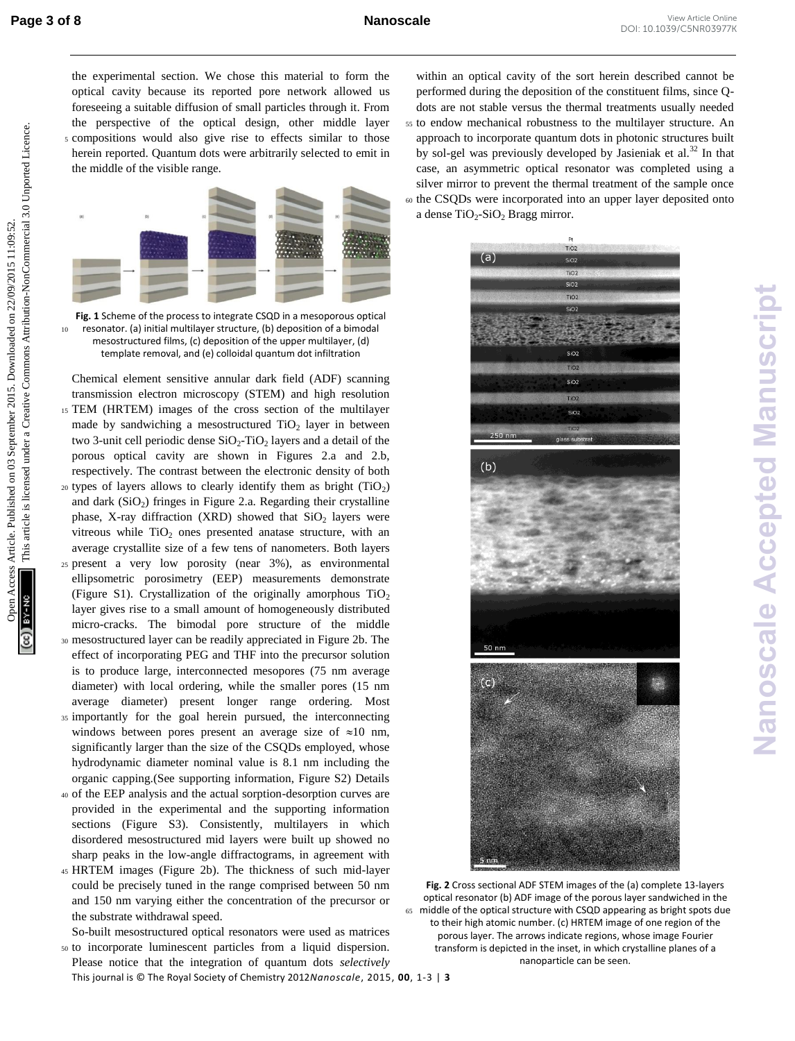**Page 3 of 8 Nanoscale** 

the experimental section. We chose this material to form the optical cavity because its reported pore network allowed us foreseeing a suitable diffusion of small particles through it. From the perspective of the optical design, other middle layer <sup>5</sup> compositions would also give rise to effects similar to those herein reported. Quantum dots were arbitrarily selected to emit in the middle of the visible range.



**Fig. 1** Scheme of the process to integrate CSQD in a mesoporous optical resonator. (a) initial multilayer structure, (b) deposition of a bimodal mesostructured films, (c) deposition of the upper multilayer, (d) template removal, and (e) colloidal quantum dot infiltration

Chemical element sensitive annular dark field (ADF) scanning transmission electron microscopy (STEM) and high resolution <sup>15</sup> TEM (HRTEM) images of the cross section of the multilayer made by sandwiching a mesostructured  $TiO<sub>2</sub>$  layer in between two 3-unit cell periodic dense  $SiO_2$ -Ti $O_2$  layers and a detail of the porous optical cavity are shown in Figures 2.a and 2.b, respectively. The contrast between the electronic density of both  $_{20}$  types of layers allows to clearly identify them as bright (TiO<sub>2</sub>) and dark (SiO<sub>2</sub>) fringes in Figure 2.a. Regarding their crystalline phase, X-ray diffraction (XRD) showed that  $SiO<sub>2</sub>$  layers were vitreous while  $TiO<sub>2</sub>$  ones presented anatase structure, with an average crystallite size of a few tens of nanometers. Both layers <sup>25</sup> present a very low porosity (near 3%), as environmental ellipsometric porosimetry (EEP) measurements demonstrate (Figure S1). Crystallization of the originally amorphous  $TiO<sub>2</sub>$ layer gives rise to a small amount of homogeneously distributed micro-cracks. The bimodal pore structure of the middle

- <sup>30</sup> mesostructured layer can be readily appreciated in Figure 2b. The effect of incorporating PEG and THF into the precursor solution is to produce large, interconnected mesopores (75 nm average diameter) with local ordering, while the smaller pores (15 nm average diameter) present longer range ordering. Most 35 importantly for the goal herein pursued, the interconnecting windows between pores present an average size of  $\approx 10$  nm, significantly larger than the size of the CSQDs employed, whose
- hydrodynamic diameter nominal value is 8.1 nm including the organic capping.(See supporting information, Figure S2) Details <sup>40</sup> of the EEP analysis and the actual sorption-desorption curves are
- provided in the experimental and the supporting information sections (Figure S3). Consistently, multilayers in which disordered mesostructured mid layers were built up showed no sharp peaks in the low-angle diffractograms, in agreement with
- <sup>45</sup> HRTEM images (Figure 2b). The thickness of such mid-layer could be precisely tuned in the range comprised between 50 nm and 150 nm varying either the concentration of the precursor or the substrate withdrawal speed.
- So-built mesostructured optical resonators were used as matrices <sup>50</sup> to incorporate luminescent particles from a liquid dispersion.
- This journal is © The Royal Society of Chemistry 2012*Nanoscale*, 2015, **00**, 1-3 | **3** Please notice that the integration of quantum dots *selectively*

within an optical cavity of the sort herein described cannot be performed during the deposition of the constituent films, since Qdots are not stable versus the thermal treatments usually needed <sup>55</sup> to endow mechanical robustness to the multilayer structure. An approach to incorporate quantum dots in photonic structures built by sol-gel was previously developed by Jasieniak et al.<sup>32</sup> In that case, an asymmetric optical resonator was completed using a silver mirror to prevent the thermal treatment of the sample once <sup>60</sup> the CSQDs were incorporated into an upper layer deposited onto a dense TiO<sub>2</sub>-SiO<sub>2</sub> Bragg mirror.



**Fig. 2** Cross sectional ADF STEM images of the (a) complete 13-layers optical resonator (b) ADF image of the porous layer sandwiched in the <sup>65</sup> middle of the optical structure with CSQD appearing as bright spots due to their high atomic number. (c) HRTEM image of one region of the porous layer. The arrows indicate regions, whose image Fourier transform is depicted in the inset, in which crystalline planes of a nanoparticle can be seen.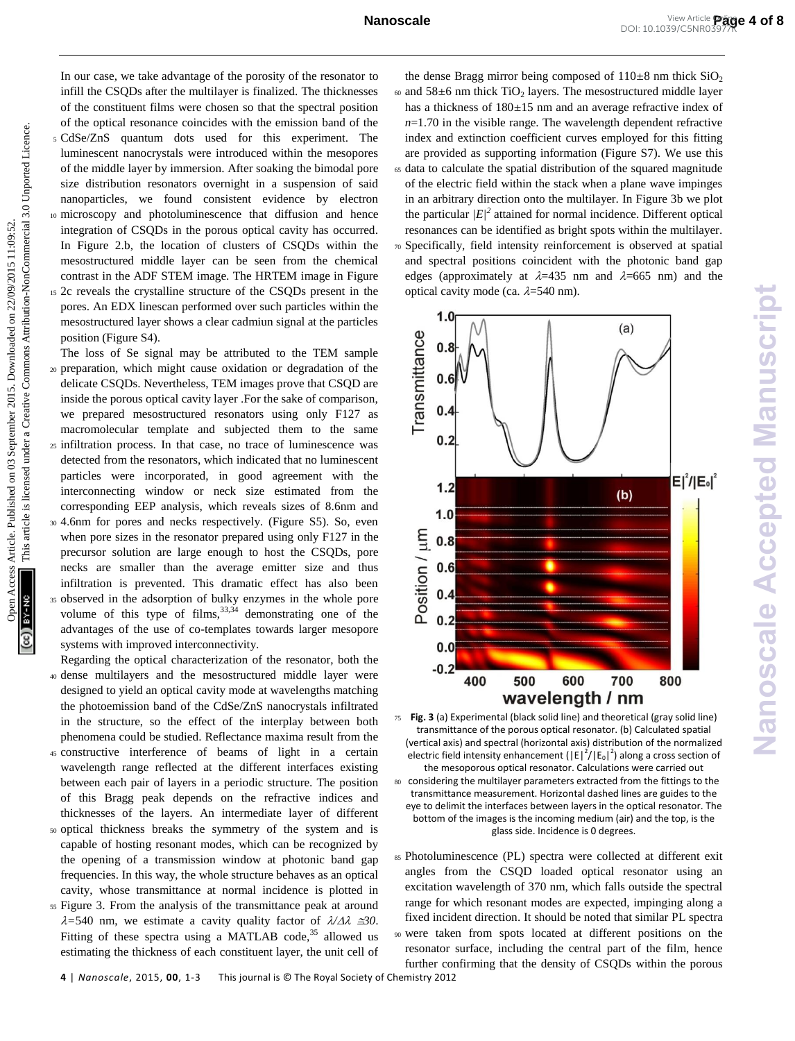In our case, we take advantage of the porosity of the resonator to infill the CSQDs after the multilayer is finalized. The thicknesses of the constituent films were chosen so that the spectral position of the optical resonance coincides with the emission band of the

- <sup>5</sup> CdSe/ZnS quantum dots used for this experiment. The luminescent nanocrystals were introduced within the mesopores of the middle layer by immersion. After soaking the bimodal pore size distribution resonators overnight in a suspension of said nanoparticles, we found consistent evidence by electron <sup>10</sup> microscopy and photoluminescence that diffusion and hence integration of CSQDs in the porous optical cavity has occurred. In Figure 2.b, the location of clusters of CSQDs within the
- mesostructured middle layer can be seen from the chemical contrast in the ADF STEM image. The HRTEM image in Figure <sup>15</sup> 2c reveals the crystalline structure of the CSQDs present in the pores. An EDX linescan performed over such particles within the mesostructured layer shows a clear cadmiun signal at the particles position (Figure S4).
- The loss of Se signal may be attributed to the TEM sample <sup>20</sup> preparation, which might cause oxidation or degradation of the delicate CSQDs. Nevertheless, TEM images prove that CSQD are inside the porous optical cavity layer .For the sake of comparison, we prepared mesostructured resonators using only F127 as macromolecular template and subjected them to the same <sup>25</sup> infiltration process. In that case, no trace of luminescence was detected from the resonators, which indicated that no luminescent particles were incorporated, in good agreement with the interconnecting window or neck size estimated from the corresponding EEP analysis, which reveals sizes of 8.6nm and <sup>30</sup> 4.6nm for pores and necks respectively. (Figure S5). So, even when pore sizes in the resonator prepared using only F127 in the precursor solution are large enough to host the CSQDs, pore necks are smaller than the average emitter size and thus infiltration is prevented. This dramatic effect has also been <sup>35</sup> observed in the adsorption of bulky enzymes in the whole pore volume of this type of films,  $33,34$  demonstrating one of the advantages of the use of co-templates towards larger mesopore systems with improved interconnectivity.
- Regarding the optical characterization of the resonator, both the
- <sup>40</sup> dense multilayers and the mesostructured middle layer were designed to yield an optical cavity mode at wavelengths matching the photoemission band of the CdSe/ZnS nanocrystals infiltrated in the structure, so the effect of the interplay between both phenomena could be studied. Reflectance maxima result from the
- <sup>45</sup> constructive interference of beams of light in a certain wavelength range reflected at the different interfaces existing between each pair of layers in a periodic structure. The position of this Bragg peak depends on the refractive indices and thicknesses of the layers. An intermediate layer of different
- <sup>50</sup> optical thickness breaks the symmetry of the system and is capable of hosting resonant modes, which can be recognized by the opening of a transmission window at photonic band gap frequencies. In this way, the whole structure behaves as an optical cavity, whose transmittance at normal incidence is plotted in
- <sup>55</sup> Figure 3. From the analysis of the transmittance peak at around  $\lambda = 540$  nm, we estimate a cavity quality factor of  $\lambda/\Delta\lambda \approx 30$ . Fitting of these spectra using a MATLAB code, $35$  allowed us estimating the thickness of each constituent layer, the unit cell of
	- **4** | *Nanoscale*, 2015, **00**, 1-3 This journal is © The Royal Society of Chemistry 2012

the dense Bragg mirror being composed of  $110\pm8$  nm thick  $SiO<sub>2</sub>$  $\omega$  and 58 $\pm$ 6 nm thick TiO<sub>2</sub> layers. The mesostructured middle layer has a thickness of  $180\pm15$  nm and an average refractive index of  $n=1.70$  in the visible range. The wavelength dependent refractive index and extinction coefficient curves employed for this fitting are provided as supporting information (Figure S7). We use this <sup>65</sup> data to calculate the spatial distribution of the squared magnitude of the electric field within the stack when a plane wave impinges in an arbitrary direction onto the multilayer. In Figure 3b we plot the particular  $|E|^2$  attained for normal incidence. Different optical resonances can be identified as bright spots within the multilayer. <sup>70</sup> Specifically, field intensity reinforcement is observed at spatial and spectral positions coincident with the photonic band gap edges (approximately at  $\lambda=435$  nm and  $\lambda=665$  nm) and the optical cavity mode (ca.  $\lambda$ =540 nm).



<sup>75</sup> **Fig. 3** (a) Experimental (black solid line) and theoretical (gray solid line) transmittance of the porous optical resonator. (b) Calculated spatial (vertical axis) and spectral (horizontal axis) distribution of the normalized electric field intensity enhancement  $(|E|^2/|E_0|^2)$  along a cross section of the mesoporous optical resonator. Calculations were carried out

<sup>80</sup> considering the multilayer parameters extracted from the fittings to the transmittance measurement. Horizontal dashed lines are guides to the eye to delimit the interfaces between layers in the optical resonator. The bottom of the images is the incoming medium (air) and the top, is the glass side. Incidence is 0 degrees.

<sup>85</sup> Photoluminescence (PL) spectra were collected at different exit angles from the CSQD loaded optical resonator using an excitation wavelength of 370 nm, which falls outside the spectral range for which resonant modes are expected, impinging along a fixed incident direction. It should be noted that similar PL spectra <sup>90</sup> were taken from spots located at different positions on the resonator surface, including the central part of the film, hence further confirming that the density of CSQDs within the porous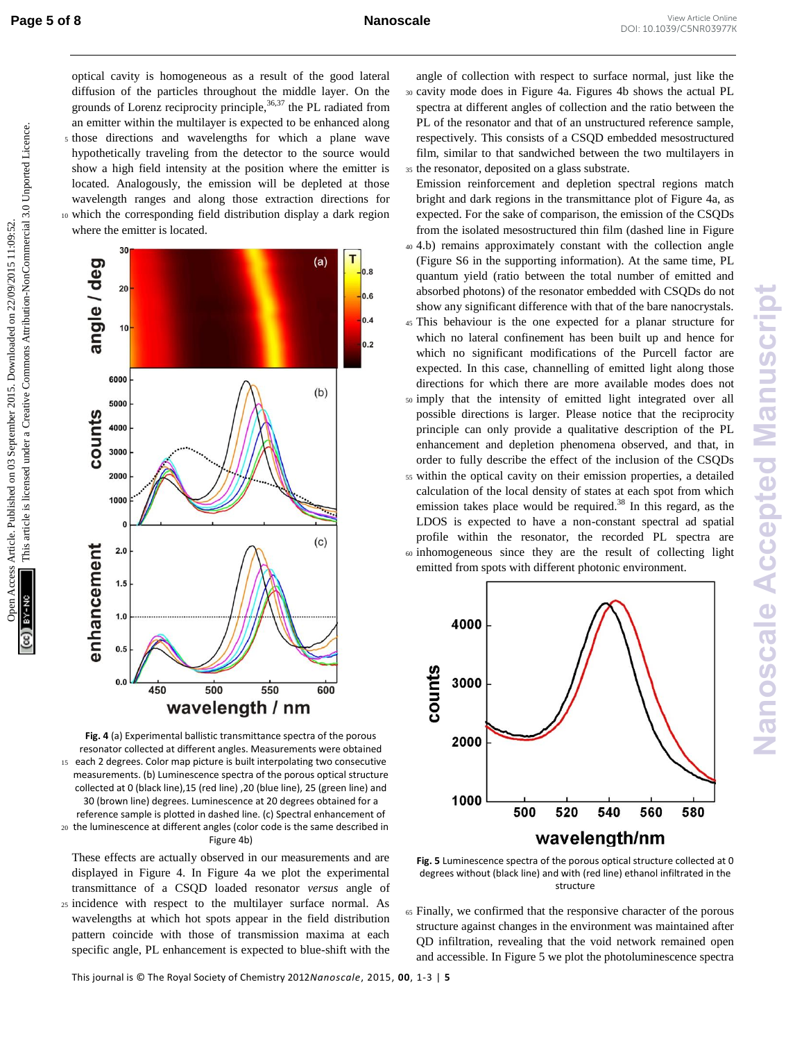optical cavity is homogeneous as a result of the good lateral diffusion of the particles throughout the middle layer. On the grounds of Lorenz reciprocity principle,  $36,37$  the PL radiated from an emitter within the multilayer is expected to be enhanced along <sup>5</sup> those directions and wavelengths for which a plane wave hypothetically traveling from the detector to the source would show a high field intensity at the position where the emitter is located. Analogously, the emission will be depleted at those wavelength ranges and along those extraction directions for <sup>10</sup> which the corresponding field distribution display a dark region where the emitter is located.



**Fig. 4** (a) Experimental ballistic transmittance spectra of the porous resonator collected at different angles. Measurements were obtained each 2 degrees. Color map picture is built interpolating two consecutive measurements. (b) Luminescence spectra of the porous optical structure collected at 0 (black line),15 (red line) ,20 (blue line), 25 (green line) and 30 (brown line) degrees. Luminescence at 20 degrees obtained for a reference sample is plotted in dashed line. (c) Spectral enhancement of <sup>20</sup> the luminescence at different angles (color code is the same described in Figure 4b)

These effects are actually observed in our measurements and are displayed in Figure 4. In Figure 4a we plot the experimental transmittance of a CSQD loaded resonator *versus* angle of

<sup>25</sup> incidence with respect to the multilayer surface normal. As wavelengths at which hot spots appear in the field distribution pattern coincide with those of transmission maxima at each specific angle, PL enhancement is expected to blue-shift with the

This journal is © The Royal Society of Chemistry 2012*Nanoscale*, 2015, **00**, 1-3 | **5**

angle of collection with respect to surface normal, just like the <sup>30</sup> cavity mode does in Figure 4a. Figures 4b shows the actual PL spectra at different angles of collection and the ratio between the PL of the resonator and that of an unstructured reference sample, respectively. This consists of a CSQD embedded mesostructured film, similar to that sandwiched between the two multilayers in <sup>35</sup> the resonator, deposited on a glass substrate.

Emission reinforcement and depletion spectral regions match bright and dark regions in the transmittance plot of Figure 4a, as expected. For the sake of comparison, the emission of the CSQDs from the isolated mesostructured thin film (dashed line in Figure

- <sup>40</sup> 4.b) remains approximately constant with the collection angle (Figure S6 in the supporting information). At the same time, PL quantum yield (ratio between the total number of emitted and absorbed photons) of the resonator embedded with CSQDs do not show any significant difference with that of the bare nanocrystals.
- <sup>45</sup> This behaviour is the one expected for a planar structure for which no lateral confinement has been built up and hence for which no significant modifications of the Purcell factor are expected. In this case, channelling of emitted light along those directions for which there are more available modes does not
- <sup>50</sup> imply that the intensity of emitted light integrated over all possible directions is larger. Please notice that the reciprocity principle can only provide a qualitative description of the PL enhancement and depletion phenomena observed, and that, in order to fully describe the effect of the inclusion of the CSQDs <sup>55</sup> within the optical cavity on their emission properties, a detailed calculation of the local density of states at each spot from which emission takes place would be required. $38$  In this regard, as the LDOS is expected to have a non-constant spectral ad spatial profile within the resonator, the recorded PL spectra are <sup>60</sup> inhomogeneous since they are the result of collecting light emitted from spots with different photonic environment.



**Fig. 5** Luminescence spectra of the porous optical structure collected at 0 degrees without (black line) and with (red line) ethanol infiltrated in the structure

<sup>65</sup> Finally, we confirmed that the responsive character of the porous structure against changes in the environment was maintained after QD infiltration, revealing that the void network remained open and accessible. In Figure 5 we plot the photoluminescence spectra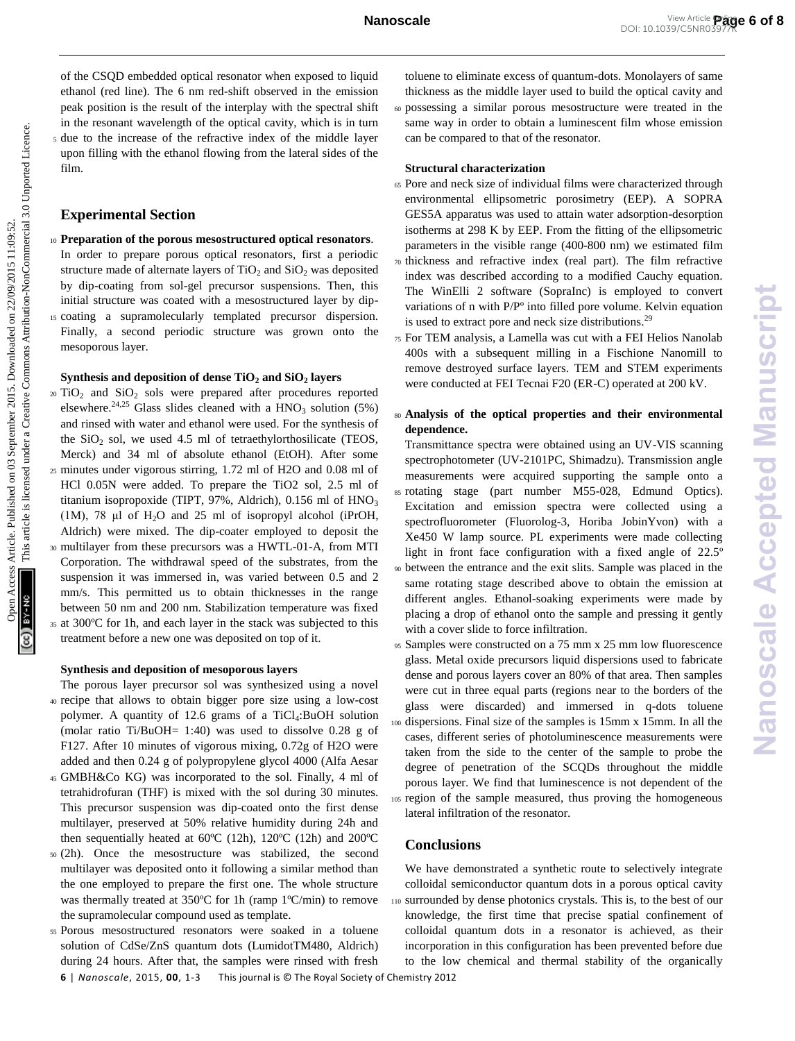of the CSQD embedded optical resonator when exposed to liquid ethanol (red line). The 6 nm red-shift observed in the emission peak position is the result of the interplay with the spectral shift in the resonant wavelength of the optical cavity, which is in turn <sup>5</sup> due to the increase of the refractive index of the middle layer upon filling with the ethanol flowing from the lateral sides of the

#### **Experimental Section**

film.

<sup>10</sup> **Preparation of the porous mesostructured optical resonators**. In order to prepare porous optical resonators, first a periodic structure made of alternate layers of  $TiO<sub>2</sub>$  and  $SiO<sub>2</sub>$  was deposited by dip-coating from sol-gel precursor suspensions. Then, this initial structure was coated with a mesostructured layer by dip-<sup>15</sup> coating a supramolecularly templated precursor dispersion. Finally, a second periodic structure was grown onto the mesoporous layer.

#### **Synthesis and deposition of dense TiO<sup>2</sup> and SiO<sup>2</sup> layers**

 $20$  TiO<sub>2</sub> and SiO<sub>2</sub> sols were prepared after procedures reported elsewhere.<sup>[24,](#page-1-2)[25](#page-1-3)</sup> Glass slides cleaned with a  $HNO<sub>3</sub>$  solution (5%) and rinsed with water and ethanol were used. For the synthesis of the  $SiO<sub>2</sub>$  sol, we used 4.5 ml of tetraethylorthosilicate (TEOS, Merck) and 34 ml of absolute ethanol (EtOH). After some <sup>25</sup> minutes under vigorous stirring, 1.72 ml of H2O and 0.08 ml of HCl 0.05N were added. To prepare the TiO2 sol, 2.5 ml of titanium isopropoxide (TIPT, 97%, Aldrich), 0.156 ml of HNO<sub>3</sub> (1M), 78  $\mu$ l of H<sub>2</sub>O and 25 ml of isopropyl alcohol (iPrOH, Aldrich) were mixed. The dip-coater employed to deposit the <sup>30</sup> multilayer from these precursors was a HWTL-01-A, from MTI Corporation. The withdrawal speed of the substrates, from the suspension it was immersed in, was varied between 0.5 and 2 mm/s. This permitted us to obtain thicknesses in the range between 50 nm and 200 nm. Stabilization temperature was fixed <sup>35</sup> at 300ºC for 1h, and each layer in the stack was subjected to this treatment before a new one was deposited on top of it. Nanoscale<br>
of the CSU/retelation of the same since speed to the control of the control of the car of the same of the car of the same of the car of the same of the same of the same of the same of the same of the same of th

#### **Synthesis and deposition of mesoporous layers**

- The porous layer precursor sol was synthesized using a novel <sup>40</sup> recipe that allows to obtain bigger pore size using a low-cost polymer. A quantity of 12.6 grams of a  $TiCl<sub>4</sub>:BuOH$  solution (molar ratio Ti/BuOH= 1:40) was used to dissolve 0.28 g of F127. After 10 minutes of vigorous mixing, 0.72g of H2O were added and then 0.24 g of polypropylene glycol 4000 (Alfa Aesar
- <sup>45</sup> GMBH&Co KG) was incorporated to the sol. Finally, 4 ml of tetrahidrofuran (THF) is mixed with the sol during 30 minutes. This precursor suspension was dip-coated onto the first dense multilayer, preserved at 50% relative humidity during 24h and then sequentially heated at 60ºC (12h), 120ºC (12h) and 200ºC
- <sup>50</sup> (2h). Once the mesostructure was stabilized, the second multilayer was deposited onto it following a similar method than the one employed to prepare the first one. The whole structure was thermally treated at 350ºC for 1h (ramp 1ºC/min) to remove the supramolecular compound used as template.
- **6** | *Nanoscale*, 2015, **00**, 1-3 This journal is © The Royal Society of Chemistry 2012 <sup>55</sup> Porous mesostructured resonators were soaked in a toluene solution of CdSe/ZnS quantum dots (LumidotTM480, Aldrich) during 24 hours. After that, the samples were rinsed with fresh

toluene to eliminate excess of quantum-dots. Monolayers of same thickness as the middle layer used to build the optical cavity and

<sup>60</sup> possessing a similar porous mesostructure were treated in the same way in order to obtain a luminescent film whose emission can be compared to that of the resonator.

#### **Structural characterization**

- <sup>65</sup> Pore and neck size of individual films were characterized through environmental ellipsometric porosimetry (EEP). A SOPRA GES5A apparatus was used to attain water adsorption-desorption isotherms at 298 K by EEP. From the fitting of the ellipsometric parameters in the visible range (400-800 nm) we estimated film <sup>70</sup> thickness and refractive index (real part). The film refractive index was described according to a modified Cauchy equation. The WinElli 2 software (SopraInc) is employed to convert variations of n with P/Pº into filled pore volume. Kelvin equation is used to extract pore and neck size distributions.<sup>[29](#page-1-4)</sup>
- <sup>75</sup> For TEM analysis, a Lamella was cut with a FEI Helios Nanolab 400s with a subsequent milling in a Fischione Nanomill to remove destroyed surface layers. TEM and STEM experiments were conducted at FEI Tecnai F20 (ER-C) operated at 200 kV.

#### <sup>80</sup> **Analysis of the optical properties and their environmental dependence.**

Transmittance spectra were obtained using an UV-VIS scanning spectrophotometer (UV-2101PC, Shimadzu). Transmission angle measurements were acquired supporting the sample onto a <sup>85</sup> rotating stage (part number M55-028, Edmund Optics). Excitation and emission spectra were collected using a spectrofluorometer (Fluorolog-3, Horiba JobinYvon) with a Xe450 W lamp source. PL experiments were made collecting light in front face configuration with a fixed angle of 22.5º <sup>90</sup> between the entrance and the exit slits. Sample was placed in the

- same rotating stage described above to obtain the emission at different angles. Ethanol-soaking experiments were made by placing a drop of ethanol onto the sample and pressing it gently with a cover slide to force infiltration.
- <sup>95</sup> Samples were constructed on a 75 mm x 25 mm low fluorescence glass. Metal oxide precursors liquid dispersions used to fabricate dense and porous layers cover an 80% of that area. Then samples were cut in three equal parts (regions near to the borders of the glass were discarded) and immersed in q-dots toluene <sup>100</sup> dispersions. Final size of the samples is 15mm x 15mm. In all the cases, different series of photoluminescence measurements were taken from the side to the center of the sample to probe the degree of penetration of the SCQDs throughout the middle porous layer. We find that luminescence is not dependent of the <sup>105</sup> region of the sample measured, thus proving the homogeneous lateral infiltration of the resonator.

#### **Conclusions**

We have demonstrated a synthetic route to selectively integrate colloidal semiconductor quantum dots in a porous optical cavity <sup>110</sup> surrounded by dense photonics crystals. This is, to the best of our knowledge, the first time that precise spatial confinement of colloidal quantum dots in a resonator is achieved, as their incorporation in this configuration has been prevented before due to the low chemical and thermal stability of the organically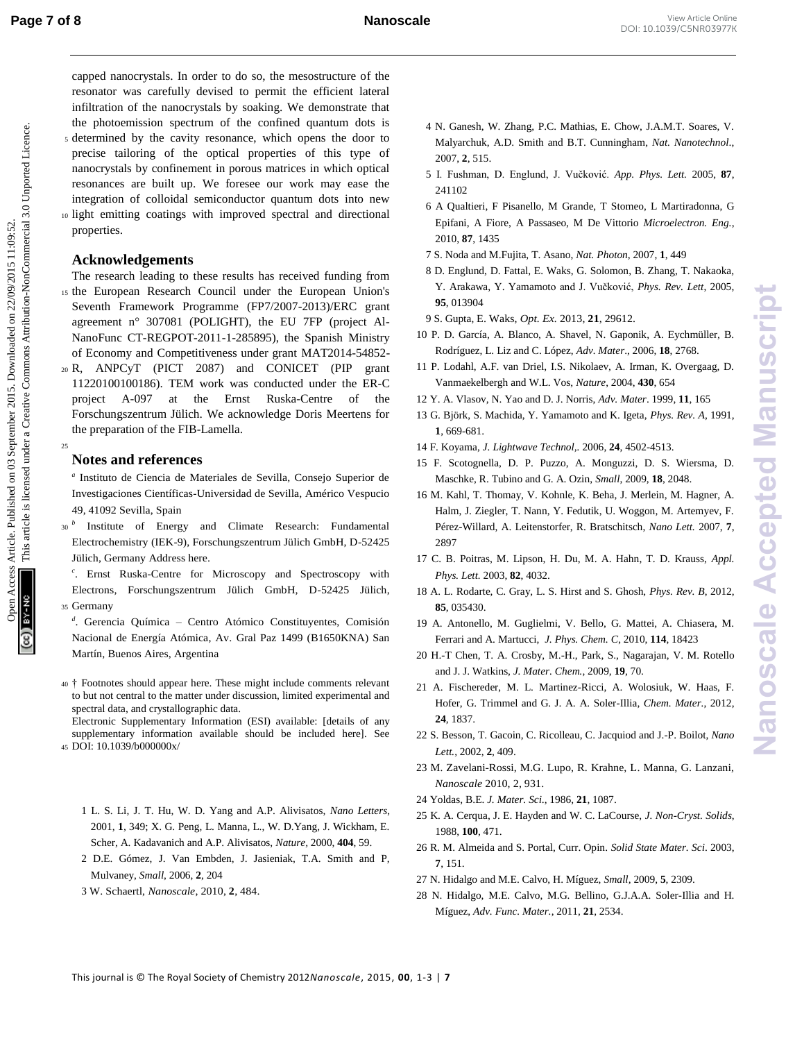capped nanocrystals. In order to do so, the mesostructure of the resonator was carefully devised to permit the efficient lateral infiltration of the nanocrystals by soaking. We demonstrate that the photoemission spectrum of the confined quantum dots is <sup>5</sup> determined by the cavity resonance, which opens the door to

precise tailoring of the optical properties of this type of nanocrystals by confinement in porous matrices in which optical resonances are built up. We foresee our work may ease the integration of colloidal semiconductor quantum dots into new <sup>10</sup> light emitting coatings with improved spectral and directional properties.

### **Acknowledgements**

- The research leading to these results has received funding from <sup>15</sup> the European Research Council under the European Union's Seventh Framework Programme (FP7/2007-2013)/ERC grant agreement n° 307081 (POLIGHT), the EU 7FP (project Al-NanoFunc CT-REGPOT-2011-1-285895), the Spanish Ministry of Economy and Competitiveness under grant MAT2014-54852- **Page 7 of 8**<br>
surprefixed to the surprefixed of the surpression of the surpression of the surpression of the surpression of the surpression of the surpression of the surpression of the surpression of the surpression of t
	- <sup>20</sup> R, ANPCyT (PICT 2087) and CONICET (PIP grant 11220100100186). TEM work was conducted under the ER-C project A-097 at the Ernst Ruska-Centre of Forschungszentrum Jülich. We acknowledge Doris Meertens for the preparation of the FIB-Lamella.

### **Notes and references**

25

- *a* Instituto de Ciencia de Materiales de Sevilla, Consejo Superior de Investigaciones Científicas-Universidad de Sevilla, Américo Vespucio 49, 41092 Sevilla, Spain
- <sup>30</sup> Institute of Energy and Climate Research: Fundamental Electrochemistry (IEK-9), Forschungszentrum Jülich GmbH, D-52425 Jülich, Germany Address here.
- *c* . Ernst Ruska-Centre for Microscopy and Spectroscopy with Electrons, Forschungszentrum Jülich GmbH, D-52425 Jülich, <sup>35</sup> Germany
- *d* . Gerencia Química Centro Atómico Constituyentes, Comisión Nacional de Energía Atómica, Av. Gral Paz 1499 (B1650KNA) San Martín, Buenos Aires, Argentina
- <sup>40</sup> † Footnotes should appear here. These might include comments relevant to but not central to the matter under discussion, limited experimental and spectral data, and crystallographic data.

Electronic Supplementary Information (ESI) available: [details of any supplementary information available should be included here]. See <sup>45</sup> DOI: 10.1039/b000000x/

- 1 L. S. Li, J. T. Hu, W. D. Yang and A.P. Alivisatos, *Nano Letters*, 2001, **1**, 349; X. G. Peng, L. Manna, L., W. D.Yang, J. Wickham, E. Scher, A. Kadavanich and A.P. Alivisatos, *Nature,* 2000, **404**, 59.
- 2 D.E. Gómez, J. Van Embden, J. Jasieniak, T.A. Smith and P, Mulvaney, *Small*, 2006, **2**, 204
- 3 W. Schaertl, *Nanoscale*, 2010, **2**, 484.
- 4 N. Ganesh, W. Zhang, P.C. Mathias, E. Chow, J.A.M.T. Soares, V. Malyarchuk, A.D. Smith and B.T. Cunningham, *Nat. Nanotechnol*., 2007, **2**, 515.
- 5 I. Fushman, D. Englund, J. Vučković. *App. Phys. Lett.* 2005, **87**, 241102
- 6 A Qualtieri, F Pisanello, M Grande, T Stomeo, L Martiradonna, G Epifani, A Fiore, A Passaseo, M De Vittorio *Microelectron. Eng.*, 2010, **87**, 1435
- 7 S. Noda and M.Fujita, T. Asano, *Nat. Photon*, 2007, **1**, 449
- 8 D. Englund, D. Fattal, E. Waks, G. Solomon, B. Zhang, T. Nakaoka, Y. Arakawa, Y. Yamamoto and J. Vučković, *Phys. Rev. Lett*, 2005, **95**, 013904
- 9 S. Gupta, E. Waks, *Opt. Ex.* 2013, **21**, 29612.
- 10 P. D. García, A. Blanco, A. Shavel, N. Gaponik, A. Eychmüller, B. Rodríguez, L. Liz and C. López, *Adv. Mater*., 2006, **18**, 2768.
- 11 P. Lodahl, A.F. van Driel, I.S. Nikolaev, A. Irman, K. Overgaag, D. Vanmaekelbergh and W.L. Vos, *Nature*, 2004, **430**, 654
- 12 Y. A. Vlasov, N. Yao and D. J. Norris, *Adv. Mater*. 1999, **11**, 165
- 13 G. Björk, S. Machida, Y. Yamamoto and K. Igeta, *Phys. Rev. A*, 1991, **1**, 669-681.
- 14 F. Koyama, *J. Lightwave Technol,.* 2006, **24**, 4502-4513.
- 15 F. Scotognella, D. P. Puzzo, A. Monguzzi, D. S. Wiersma, D. Maschke, R. Tubino and G. A. Ozin, *Small*, 2009, **18**, 2048.
- 16 M. Kahl, T. Thomay, V. Kohnle, K. Beha, J. Merlein, M. Hagner, A. Halm, J. Ziegler, T. Nann, Y. Fedutik, U. Woggon, M. Artemyev, F. Pérez-Willard, A. Leitenstorfer, R. Bratschitsch, *Nano Lett.* 2007, **7**, 2897
- 17 C. B. Poitras, M. Lipson, H. Du, M. A. Hahn, T. D. Krauss, *Appl. Phys. Lett.* 2003, **82**, 4032.
- 18 A. L. Rodarte, C. Gray, L. S. Hirst and S. Ghosh, *Phys. Rev. B*, 2012, **85**, 035430.
- 19 A. Antonello, M. Guglielmi, V. Bello, G. Mattei, A. Chiasera, M. Ferrari and A. Martucci, *J. Phys. Chem. C*, 2010, **114**, 18423
- 20 H.-T Chen, T. A. Crosby, M.-H., Park, S., Nagarajan, V. M. Rotello and J. J. Watkins, *J. Mater. Chem.,* 2009, **19**, 70.
- 21 A. Fischereder, M. L. Martinez-Ricci, A. Wolosiuk, W. Haas, F. Hofer, G. Trimmel and G. J. A. A. Soler-Illia, *Chem. Mater.*, 2012, **24**, 1837.
- 22 S. Besson, T. Gacoin, C. Ricolleau, C. Jacquiod and J.-P. Boilot, *Nano Lett.*, 2002, **2**, 409.
- 23 M. Zavelani-Rossi, M.G. Lupo, R. Krahne, L. Manna, G. Lanzani, *Nanoscale* 2010, 2, 931.
- 24 Yoldas, B.E. *J. Mater. Sci*., 1986, **21**, 1087.
- 25 K. A. Cerqua, J. E. Hayden and W. C. LaCourse, *J. Non-Cryst. Solids*, 1988, **100**, 471.
- 26 R. M. Almeida and S. Portal, Curr. Opin. *Solid State Mater. Sci*. 2003, **7**, 151.
- 27 N. Hidalgo and M.E. Calvo, H. Míguez, *Small,* 2009, **5**, 2309.
- 28 N. Hidalgo, M.E. Calvo, M.G. Bellino, G.J.A.A. Soler-Illia and H. Míguez, *Adv. Func. Mater.*, 2011, **21**, 2534.